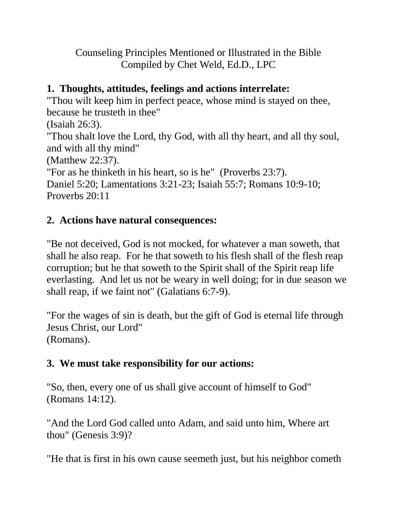Counseling Principles Mentioned or Illustrated in the Bible Compiled by Chet Weld, Ed.D., LPC

## **1. Thoughts, attitudes, feelings and actions interrelate:**

"Thou wilt keep him in perfect peace, whose mind is stayed on thee, because he trusteth in thee"

(Isaiah 26:3).

"Thou shalt love the Lord, thy God, with all thy heart, and all thy soul, and with all thy mind"

(Matthew 22:37).

"For as he thinketh in his heart, so is he" (Proverbs 23:7). Daniel 5:20; Lamentations 3:21-23; Isaiah 55:7; Romans 10:9-10; Proverbs 20:11

# **2. Actions have natural consequences:**

"Be not deceived, God is not mocked, for whatever a man soweth, that shall he also reap. For he that soweth to his flesh shall of the flesh reap corruption; but he that soweth to the Spirit shall of the Spirit reap life everlasting. And let us not be weary in well doing; for in due season we shall reap, if we faint not" (Galatians 6:7-9).

"For the wages of sin is death, but the gift of God is eternal life through Jesus Christ, our Lord" (Romans).

# **3. We must take responsibility for our actions:**

"So, then, every one of us shall give account of himself to God" (Romans 14:12).

"And the Lord God called unto Adam, and said unto him, Where art thou" (Genesis 3:9)?

"He that is first in his own cause seemeth just, but his neighbor cometh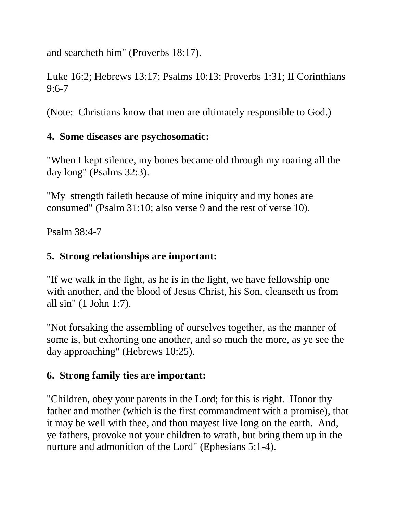and searcheth him" (Proverbs 18:17).

Luke 16:2; Hebrews 13:17; Psalms 10:13; Proverbs 1:31; II Corinthians  $9:6 - 7$ 

(Note: Christians know that men are ultimately responsible to God.)

## **4. Some diseases are psychosomatic:**

"When I kept silence, my bones became old through my roaring all the day long" (Psalms 32:3).

"My strength faileth because of mine iniquity and my bones are consumed" (Psalm 31:10; also verse 9 and the rest of verse 10).

Psalm 38:4-7

# **5. Strong relationships are important:**

"If we walk in the light, as he is in the light, we have fellowship one with another, and the blood of Jesus Christ, his Son, cleanseth us from all sin" (1 John 1:7).

"Not forsaking the assembling of ourselves together, as the manner of some is, but exhorting one another, and so much the more, as ye see the day approaching" (Hebrews 10:25).

# **6. Strong family ties are important:**

"Children, obey your parents in the Lord; for this is right. Honor thy father and mother (which is the first commandment with a promise), that it may be well with thee, and thou mayest live long on the earth. And, ye fathers, provoke not your children to wrath, but bring them up in the nurture and admonition of the Lord" (Ephesians 5:1-4).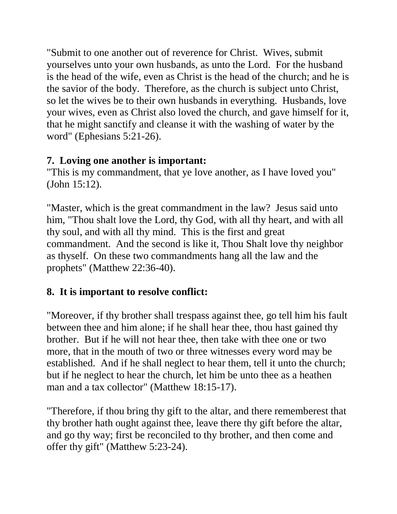"Submit to one another out of reverence for Christ. Wives, submit yourselves unto your own husbands, as unto the Lord. For the husband is the head of the wife, even as Christ is the head of the church; and he is the savior of the body. Therefore, as the church is subject unto Christ, so let the wives be to their own husbands in everything. Husbands, love your wives, even as Christ also loved the church, and gave himself for it, that he might sanctify and cleanse it with the washing of water by the word" (Ephesians 5:21-26).

#### **7. Loving one another is important:**

"This is my commandment, that ye love another, as I have loved you" (John 15:12).

"Master, which is the great commandment in the law? Jesus said unto him, "Thou shalt love the Lord, thy God, with all thy heart, and with all thy soul, and with all thy mind. This is the first and great commandment. And the second is like it, Thou Shalt love thy neighbor as thyself. On these two commandments hang all the law and the prophets" (Matthew 22:36-40).

## **8. It is important to resolve conflict:**

"Moreover, if thy brother shall trespass against thee, go tell him his fault between thee and him alone; if he shall hear thee, thou hast gained thy brother. But if he will not hear thee, then take with thee one or two more, that in the mouth of two or three witnesses every word may be established. And if he shall neglect to hear them, tell it unto the church; but if he neglect to hear the church, let him be unto thee as a heathen man and a tax collector" (Matthew 18:15-17).

"Therefore, if thou bring thy gift to the altar, and there rememberest that thy brother hath ought against thee, leave there thy gift before the altar, and go thy way; first be reconciled to thy brother, and then come and offer thy gift" (Matthew 5:23-24).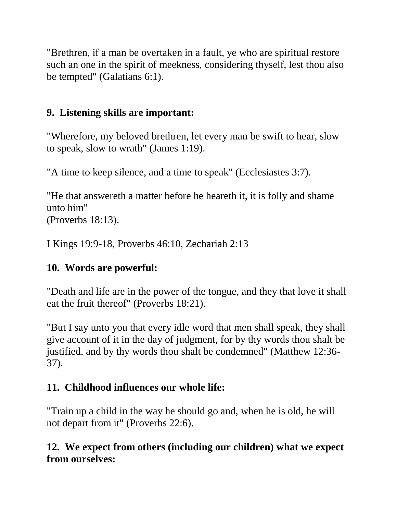"Brethren, if a man be overtaken in a fault, ye who are spiritual restore such an one in the spirit of meekness, considering thyself, lest thou also be tempted" (Galatians 6:1).

## **9. Listening skills are important:**

"Wherefore, my beloved brethren, let every man be swift to hear, slow to speak, slow to wrath" (James 1:19).

"A time to keep silence, and a time to speak" (Ecclesiastes 3:7).

"He that answereth a matter before he heareth it, it is folly and shame unto him"

(Proverbs 18:13).

I Kings 19:9-18, Proverbs 46:10, Zechariah 2:13

## **10. Words are powerful:**

"Death and life are in the power of the tongue, and they that love it shall eat the fruit thereof" (Proverbs 18:21).

"But I say unto you that every idle word that men shall speak, they shall give account of it in the day of judgment, for by thy words thou shalt be justified, and by thy words thou shalt be condemned" (Matthew 12:36- 37).

## **11. Childhood influences our whole life:**

"Train up a child in the way he should go and, when he is old, he will not depart from it" (Proverbs 22:6).

## **12. We expect from others (including our children) what we expect from ourselves:**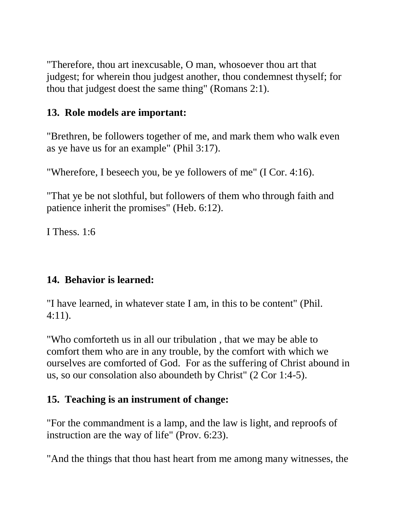"Therefore, thou art inexcusable, O man, whosoever thou art that judgest; for wherein thou judgest another, thou condemnest thyself; for thou that judgest doest the same thing" (Romans 2:1).

#### **13. Role models are important:**

"Brethren, be followers together of me, and mark them who walk even as ye have us for an example" (Phil 3:17).

"Wherefore, I beseech you, be ye followers of me" (I Cor. 4:16).

"That ye be not slothful, but followers of them who through faith and patience inherit the promises" (Heb. 6:12).

I Thess. 1:6

## **14. Behavior is learned:**

"I have learned, in whatever state I am, in this to be content" (Phil. 4:11).

"Who comforteth us in all our tribulation , that we may be able to comfort them who are in any trouble, by the comfort with which we ourselves are comforted of God. For as the suffering of Christ abound in us, so our consolation also aboundeth by Christ" (2 Cor 1:4-5).

## **15. Teaching is an instrument of change:**

"For the commandment is a lamp, and the law is light, and reproofs of instruction are the way of life" (Prov. 6:23).

"And the things that thou hast heart from me among many witnesses, the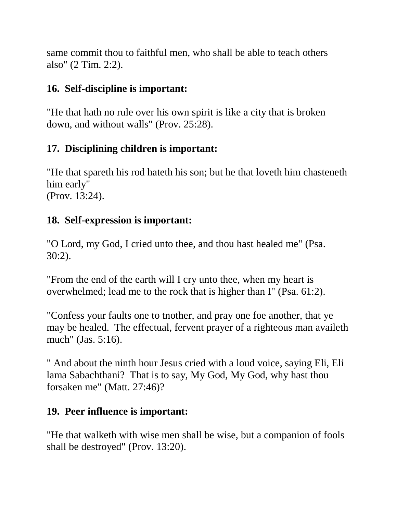same commit thou to faithful men, who shall be able to teach others also" (2 Tim. 2:2).

## **16. Self-discipline is important:**

"He that hath no rule over his own spirit is like a city that is broken down, and without walls" (Prov. 25:28).

# **17. Disciplining children is important:**

"He that spareth his rod hateth his son; but he that loveth him chasteneth him early" (Prov. 13:24).

## **18. Self-expression is important:**

"O Lord, my God, I cried unto thee, and thou hast healed me" (Psa. 30:2).

"From the end of the earth will I cry unto thee, when my heart is overwhelmed; lead me to the rock that is higher than I" (Psa. 61:2).

"Confess your faults one to tnother, and pray one foe another, that ye may be healed. The effectual, fervent prayer of a righteous man availeth much" (Jas. 5:16).

" And about the ninth hour Jesus cried with a loud voice, saying Eli, Eli lama Sabachthani? That is to say, My God, My God, why hast thou forsaken me" (Matt. 27:46)?

## **19. Peer influence is important:**

"He that walketh with wise men shall be wise, but a companion of fools shall be destroyed" (Prov. 13:20).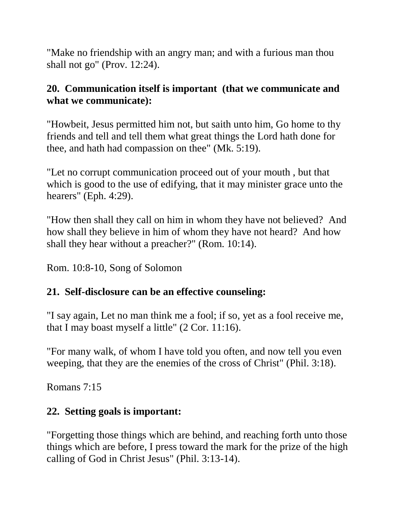"Make no friendship with an angry man; and with a furious man thou shall not go" (Prov. 12:24).

#### **20. Communication itself is important (that we communicate and what we communicate):**

"Howbeit, Jesus permitted him not, but saith unto him, Go home to thy friends and tell and tell them what great things the Lord hath done for thee, and hath had compassion on thee" (Mk. 5:19).

"Let no corrupt communication proceed out of your mouth , but that which is good to the use of edifying, that it may minister grace unto the hearers" (Eph. 4:29).

"How then shall they call on him in whom they have not believed? And how shall they believe in him of whom they have not heard? And how shall they hear without a preacher?" (Rom. 10:14).

Rom. 10:8-10, Song of Solomon

## **21. Self-disclosure can be an effective counseling:**

"I say again, Let no man think me a fool; if so, yet as a fool receive me, that I may boast myself a little" (2 Cor. 11:16).

"For many walk, of whom I have told you often, and now tell you even weeping, that they are the enemies of the cross of Christ" (Phil. 3:18).

Romans 7:15

## **22. Setting goals is important:**

"Forgetting those things which are behind, and reaching forth unto those things which are before, I press toward the mark for the prize of the high calling of God in Christ Jesus" (Phil. 3:13-14).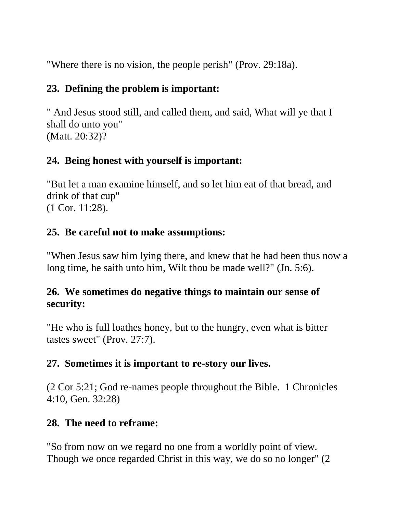"Where there is no vision, the people perish" (Prov. 29:18a).

#### **23. Defining the problem is important:**

" And Jesus stood still, and called them, and said, What will ye that I shall do unto you" (Matt. 20:32)?

## **24. Being honest with yourself is important:**

"But let a man examine himself, and so let him eat of that bread, and drink of that cup" (1 Cor. 11:28).

## **25. Be careful not to make assumptions:**

"When Jesus saw him lying there, and knew that he had been thus now a long time, he saith unto him, Wilt thou be made well?" (Jn. 5:6).

## **26. We sometimes do negative things to maintain our sense of security:**

"He who is full loathes honey, but to the hungry, even what is bitter tastes sweet" (Prov. 27:7).

## **27. Sometimes it is important to re-story our lives.**

(2 Cor 5:21; God re-names people throughout the Bible. 1 Chronicles 4:10, Gen. 32:28)

## **28. The need to reframe:**

"So from now on we regard no one from a worldly point of view. Though we once regarded Christ in this way, we do so no longer" (2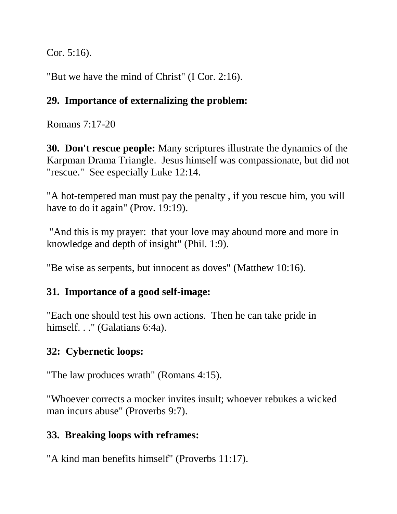Cor. 5:16).

"But we have the mind of Christ" (I Cor. 2:16).

## **29. Importance of externalizing the problem:**

Romans 7:17-20

**30. Don't rescue people:** Many scriptures illustrate the dynamics of the Karpman Drama Triangle. Jesus himself was compassionate, but did not "rescue." See especially Luke 12:14.

"A hot-tempered man must pay the penalty , if you rescue him, you will have to do it again" (Prov. 19:19).

"And this is my prayer: that your love may abound more and more in knowledge and depth of insight" (Phil. 1:9).

"Be wise as serpents, but innocent as doves" (Matthew 10:16).

## **31. Importance of a good self-image:**

"Each one should test his own actions. Then he can take pride in himself. . ." (Galatians 6:4a).

## **32: Cybernetic loops:**

"The law produces wrath" (Romans 4:15).

"Whoever corrects a mocker invites insult; whoever rebukes a wicked man incurs abuse" (Proverbs 9:7).

## **33. Breaking loops with reframes:**

"A kind man benefits himself" (Proverbs 11:17).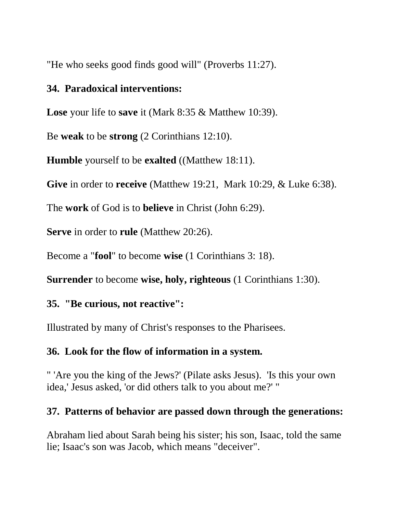"He who seeks good finds good will" (Proverbs 11:27).

#### **34. Paradoxical interventions:**

**Lose** your life to **save** it (Mark 8:35 & Matthew 10:39).

Be **weak** to be **strong** (2 Corinthians 12:10).

**Humble** yourself to be **exalted** ((Matthew 18:11).

**Give** in order to **receive** (Matthew 19:21, Mark 10:29, & Luke 6:38).

The **work** of God is to **believe** in Christ (John 6:29).

**Serve** in order to **rule** (Matthew 20:26).

Become a "**fool**" to become **wise** (1 Corinthians 3: 18).

**Surrender** to become **wise, holy, righteous** (1 Corinthians 1:30).

#### **35. "Be curious, not reactive":**

Illustrated by many of Christ's responses to the Pharisees.

#### **36. Look for the flow of information in a system.**

" 'Are you the king of the Jews?' (Pilate asks Jesus). 'Is this your own idea,' Jesus asked, 'or did others talk to you about me?' "

#### **37. Patterns of behavior are passed down through the generations:**

Abraham lied about Sarah being his sister; his son, Isaac, told the same lie; Isaac's son was Jacob, which means "deceiver".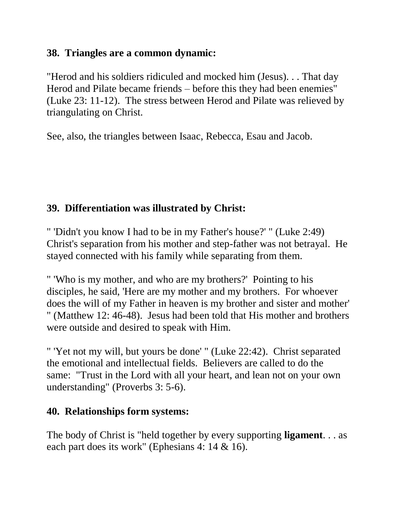#### **38. Triangles are a common dynamic:**

"Herod and his soldiers ridiculed and mocked him (Jesus). . . That day Herod and Pilate became friends – before this they had been enemies" (Luke 23: 11-12). The stress between Herod and Pilate was relieved by triangulating on Christ.

See, also, the triangles between Isaac, Rebecca, Esau and Jacob.

## **39. Differentiation was illustrated by Christ:**

" 'Didn't you know I had to be in my Father's house?' " (Luke 2:49) Christ's separation from his mother and step-father was not betrayal. He stayed connected with his family while separating from them.

" 'Who is my mother, and who are my brothers?' Pointing to his disciples, he said, 'Here are my mother and my brothers. For whoever does the will of my Father in heaven is my brother and sister and mother' " (Matthew 12: 46-48). Jesus had been told that His mother and brothers were outside and desired to speak with Him.

" 'Yet not my will, but yours be done' " (Luke 22:42). Christ separated the emotional and intellectual fields. Believers are called to do the same: "Trust in the Lord with all your heart, and lean not on your own understanding" (Proverbs 3: 5-6).

## **40. Relationships form systems:**

The body of Christ is "held together by every supporting **ligament**. . . as each part does its work" (Ephesians 4: 14 & 16).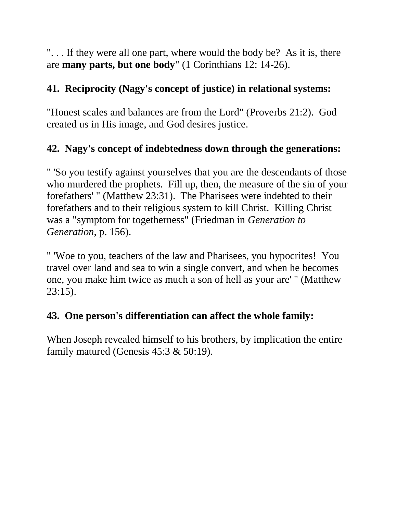". . . If they were all one part, where would the body be? As it is, there are **many parts, but one body**" (1 Corinthians 12: 14-26).

## **41. Reciprocity (Nagy's concept of justice) in relational systems:**

"Honest scales and balances are from the Lord" (Proverbs 21:2). God created us in His image, and God desires justice.

## **42. Nagy's concept of indebtedness down through the generations:**

" 'So you testify against yourselves that you are the descendants of those who murdered the prophets. Fill up, then, the measure of the sin of your forefathers' " (Matthew 23:31). The Pharisees were indebted to their forefathers and to their religious system to kill Christ. Killing Christ was a "symptom for togetherness" (Friedman in *Generation to Generation*, p. 156).

" 'Woe to you, teachers of the law and Pharisees, you hypocrites! You travel over land and sea to win a single convert, and when he becomes one, you make him twice as much a son of hell as your are' " (Matthew 23:15).

## **43. One person's differentiation can affect the whole family:**

When Joseph revealed himself to his brothers, by implication the entire family matured (Genesis  $45:3 \& 50:19$ ).